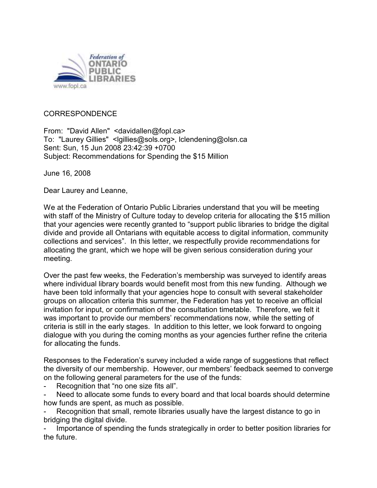

## CORRESPONDENCE

From: "David Allen" <davidallen@fopl.ca> To: "Laurey Gillies" <lgillies@sols.org>, lclendening@olsn.ca Sent: Sun, 15 Jun 2008 23:42:39 +0700 Subject: Recommendations for Spending the \$15 Million

June 16, 2008

Dear Laurey and Leanne,

We at the Federation of Ontario Public Libraries understand that you will be meeting with staff of the Ministry of Culture today to develop criteria for allocating the \$15 million that your agencies were recently granted to "support public libraries to bridge the digital divide and provide all Ontarians with equitable access to digital information, community collections and services". In this letter, we respectfully provide recommendations for allocating the grant, which we hope will be given serious consideration during your meeting.

Over the past few weeks, the Federation's membership was surveyed to identify areas where individual library boards would benefit most from this new funding. Although we have been told informally that your agencies hope to consult with several stakeholder groups on allocation criteria this summer, the Federation has yet to receive an official invitation for input, or confirmation of the consultation timetable. Therefore, we felt it was important to provide our members' recommendations now, while the setting of criteria is still in the early stages. In addition to this letter, we look forward to ongoing dialogue with you during the coming months as your agencies further refine the criteria for allocating the funds.

Responses to the Federation's survey included a wide range of suggestions that reflect the diversity of our membership. However, our members' feedback seemed to converge on the following general parameters for the use of the funds:

Recognition that "no one size fits all".

Need to allocate some funds to every board and that local boards should determine how funds are spent, as much as possible.

Recognition that small, remote libraries usually have the largest distance to go in bridging the digital divide.

Importance of spending the funds strategically in order to better position libraries for the future.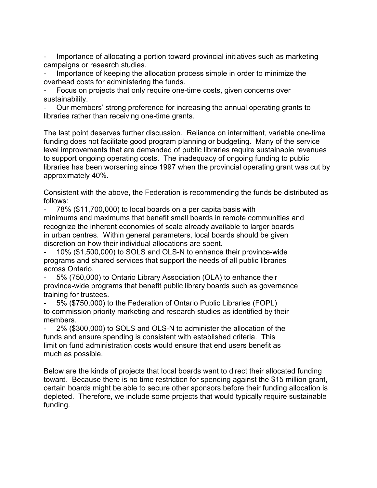Importance of allocating a portion toward provincial initiatives such as marketing campaigns or research studies.

Importance of keeping the allocation process simple in order to minimize the overhead costs for administering the funds.

Focus on projects that only require one-time costs, given concerns over sustainability.

- Our members' strong preference for increasing the annual operating grants to libraries rather than receiving one-time grants.

The last point deserves further discussion. Reliance on intermittent, variable one-time funding does not facilitate good program planning or budgeting. Many of the service level improvements that are demanded of public libraries require sustainable revenues to support ongoing operating costs. The inadequacy of ongoing funding to public libraries has been worsening since 1997 when the provincial operating grant was cut by approximately 40%.

Consistent with the above, the Federation is recommending the funds be distributed as follows:

- 78% (\$11,700,000) to local boards on a per capita basis with minimums and maximums that benefit small boards in remote communities and recognize the inherent economies of scale already available to larger boards in urban centres. Within general parameters, local boards should be given discretion on how their individual allocations are spent.

- 10% (\$1,500,000) to SOLS and OLS-N to enhance their province-wide programs and shared services that support the needs of all public libraries across Ontario.

- 5% (750,000) to Ontario Library Association (OLA) to enhance their province-wide programs that benefit public library boards such as governance training for trustees.

- 5% (\$750,000) to the Federation of Ontario Public Libraries (FOPL) to commission priority marketing and research studies as identified by their members.

2% (\$300,000) to SOLS and OLS-N to administer the allocation of the funds and ensure spending is consistent with established criteria. This limit on fund administration costs would ensure that end users benefit as much as possible.

Below are the kinds of projects that local boards want to direct their allocated funding toward. Because there is no time restriction for spending against the \$15 million grant, certain boards might be able to secure other sponsors before their funding allocation is depleted. Therefore, we include some projects that would typically require sustainable funding.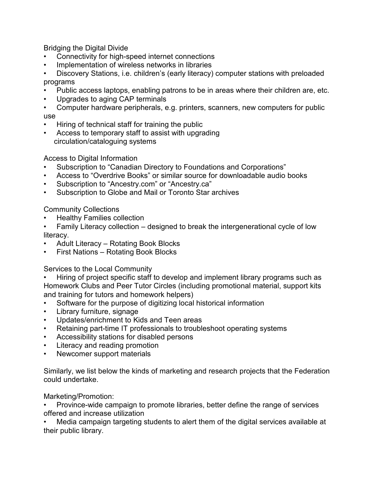Bridging the Digital Divide

- Connectivity for high-speed internet connections
- Implementation of wireless networks in libraries

• Discovery Stations, i.e. children's (early literacy) computer stations with preloaded programs

- Public access laptops, enabling patrons to be in areas where their children are, etc.
- Upgrades to aging CAP terminals
- Computer hardware peripherals, e.g. printers, scanners, new computers for public use
- Hiring of technical staff for training the public
- Access to temporary staff to assist with upgrading circulation/cataloguing systems

Access to Digital Information

- Subscription to "Canadian Directory to Foundations and Corporations"
- Access to "Overdrive Books" or similar source for downloadable audio books
- Subscription to "Ancestry.com" or "Ancestry.ca"
- Subscription to Globe and Mail or Toronto Star archives

Community Collections

- Healthy Families collection
- Family Literacy collection designed to break the intergenerational cycle of low literacy.
- Adult Literacy Rotating Book Blocks
- First Nations Rotating Book Blocks

Services to the Local Community

• Hiring of project specific staff to develop and implement library programs such as Homework Clubs and Peer Tutor Circles (including promotional material, support kits and training for tutors and homework helpers)

- Software for the purpose of digitizing local historical information
- Library furniture, signage
- Updates/enrichment to Kids and Teen areas
- Retaining part-time IT professionals to troubleshoot operating systems
- Accessibility stations for disabled persons
- Literacy and reading promotion
- Newcomer support materials

Similarly, we list below the kinds of marketing and research projects that the Federation could undertake.

Marketing/Promotion:

• Province-wide campaign to promote libraries, better define the range of services offered and increase utilization

• Media campaign targeting students to alert them of the digital services available at their public library.